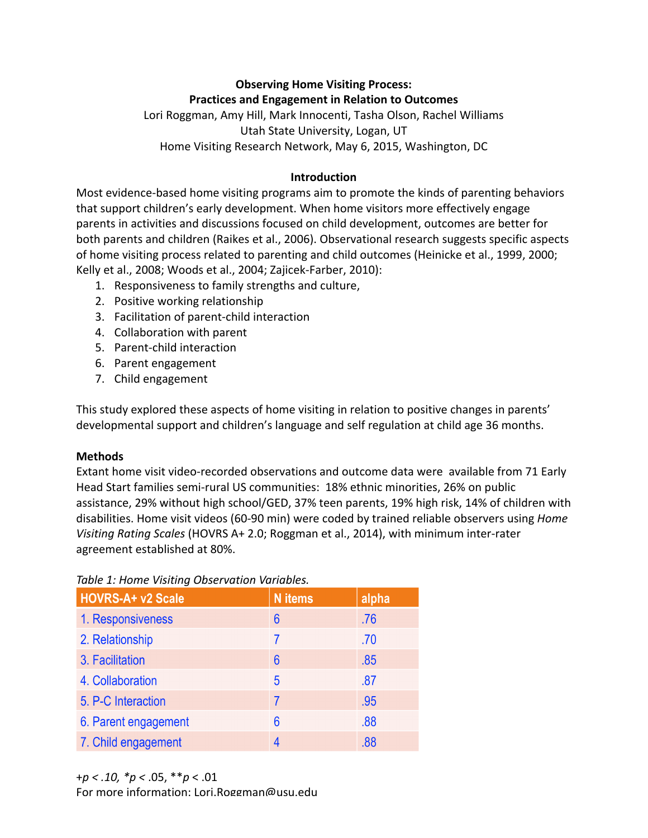# **Observing Home Visiting Process:**

**Practices and Engagement in Relation to Outcomes** Lori Roggman, Amy Hill, Mark Innocenti, Tasha Olson, Rachel Williams Utah State University, Logan, UT Home Visiting Research Network, May 6, 2015, Washington, DC

### **Introduction**

Most evidence-based home visiting programs aim to promote the kinds of parenting behaviors that support children's early development. When home visitors more effectively engage parents in activities and discussions focused on child development, outcomes are better for both parents and children (Raikes et al., 2006). Observational research suggests specific aspects of home visiting process related to parenting and child outcomes (Heinicke et al., 1999, 2000; Kelly et al., 2008; Woods et al., 2004; Zajicek-Farber, 2010):

- 1. Responsiveness to family strengths and culture,
- 2. Positive working relationship
- 3. Facilitation of parent-child interaction
- 4. Collaboration with parent
- 5. Parent-child interaction
- 6. Parent engagement
- 7. Child engagement

This study explored these aspects of home visiting in relation to positive changes in parents' developmental support and children's language and self regulation at child age 36 months.

#### **Methods**

Extant home visit video-recorded observations and outcome data were available from 71 Early Head Start families semi-rural US communities: 18% ethnic minorities, 26% on public assistance, 29% without high school/GED, 37% teen parents, 19% high risk, 14% of children with disabilities. Home visit videos (60-90 min) were coded by trained reliable observers using *Home Visiting Rating Scales* (HOVRS A+ 2.0; Roggman et al., 2014), with minimum inter-rater agreement established at 80%.

| Table 1: Home Visiting Observation Variables. |
|-----------------------------------------------|
|-----------------------------------------------|

| HOVRS-A+ v2 Scale    | <b>N</b> items  | alpha |
|----------------------|-----------------|-------|
| 1. Responsiveness    | $6\phantom{1}6$ | .76   |
| 2. Relationship      |                 | .70   |
| 3. Facilitation      | $6\phantom{1}6$ | .85   |
| 4. Collaboration     | 5               | .87   |
| 5. P-C Interaction   | 7               | .95   |
| 6. Parent engagement | 6               | .88   |
| 7. Child engagement  | 4               | .88   |

For more information: Lori.Roggman@usu.edu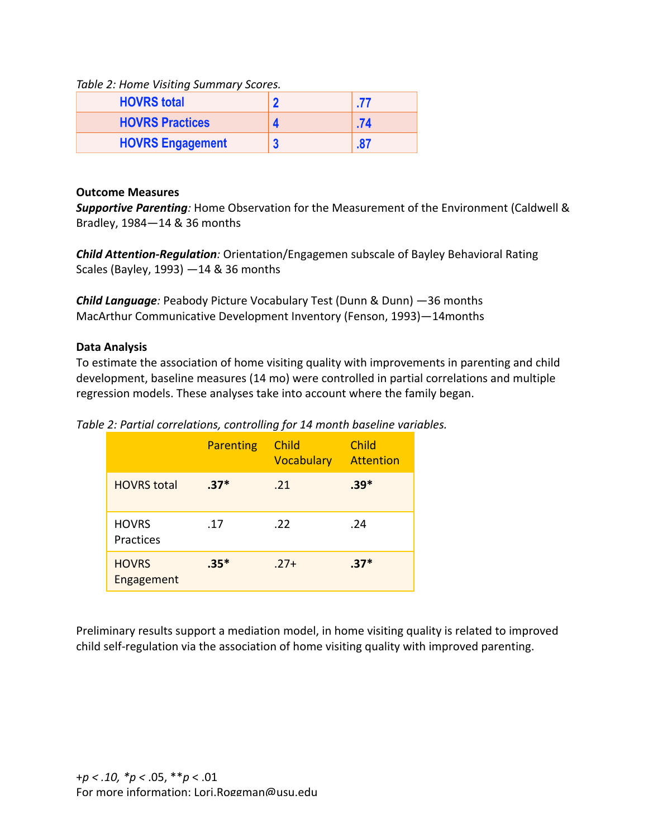Table 2: Home Visiting Summary Scores.

| <b>HOVRS total</b>      |     |
|-------------------------|-----|
| <b>HOVRS Practices</b>  | .74 |
| <b>HOVRS Engagement</b> | 87  |

#### **Outcome Measures**

**Supportive Parenting**: Home Observation for the Measurement of the Environment (Caldwell & Bradley, 1984-14 & 36 months

**Child Attention-Regulation**: Orientation/Engagemen subscale of Bayley Behavioral Rating Scales (Bayley, 1993)  $-14$  & 36 months

**Child Language**: Peabody Picture Vocabulary Test (Dunn & Dunn) —36 months MacArthur Communicative Development Inventory (Fenson, 1993)-14months

#### **Data Analysis**

To estimate the association of home visiting quality with improvements in parenting and child development, baseline measures (14 mo) were controlled in partial correlations and multiple regression models. These analyses take into account where the family began.

Table 2: Partial correlations, controlling for 14 month baseline variables.

|                            | <b>Parenting</b> | Child<br>Vocabulary | <b>Child</b><br>Attention |
|----------------------------|------------------|---------------------|---------------------------|
| <b>HOVRS</b> total         | $.37*$           | .21                 | $.39*$                    |
| <b>HOVRS</b><br>Practices  | .17              | .22                 | .24                       |
| <b>HOVRS</b><br>Engagement | $.35*$           | $.27+$              | $.37*$                    |

Preliminary results support a mediation model, in home visiting quality is related to improved child self-regulation via the association of home visiting quality with improved parenting.